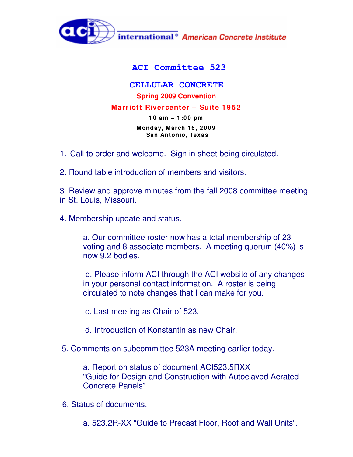

## **ACI Committee 523**

## **CELLULAR CONCRETE Spring 2009 Convention Marriott Rivercenter – Suite 1 9 5 2 1 0 am – 1 :0 0 pm Monday, March 1 6 , 2 0 0 9 San Antonio, Texas**

- 1. Call to order and welcome. Sign in sheet being circulated.
- 2. Round table introduction of members and visitors.

3. Review and approve minutes from the fall 2008 committee meeting in St. Louis, Missouri.

4. Membership update and status.

a. Our committee roster now has a total membership of 23 voting and 8 associate members. A meeting quorum (40%) is now 9.2 bodies.

b. Please inform ACI through the ACI website of any changes in your personal contact information. A roster is being circulated to note changes that I can make for you.

c. Last meeting as Chair of 523.

- d. Introduction of Konstantin as new Chair.
- 5. Comments on subcommittee 523A meeting earlier today.

a. Report on status of document ACI523.5RXX "Guide for Design and Construction with Autoclaved Aerated Concrete Panels".

6. Status of documents.

a. 523.2R-XX "Guide to Precast Floor, Roof and Wall Units".